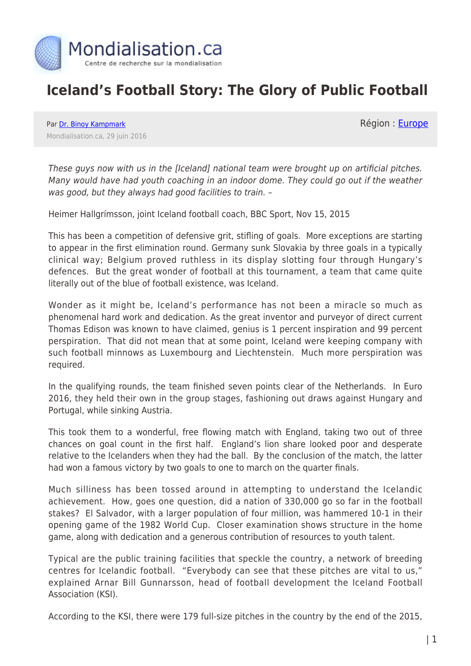

## **Iceland's Football Story: The Glory of Public Football**

Par [Dr. Binoy Kampmark](https://www.mondialisation.ca/author/binoy-kampmark) Mondialisation.ca, 29 juin 2016 Région : [Europe](https://www.mondialisation.ca/region/europe)

These guys now with us in the [Iceland] national team were brought up on artificial pitches. Many would have had youth coaching in an indoor dome. They could go out if the weather was good, but they always had good facilities to train. –

Heimer Hallgrímsson, joint Iceland football coach, BBC Sport, Nov 15, 2015

This has been a competition of defensive grit, stifling of goals. More exceptions are starting to appear in the first elimination round. Germany sunk Slovakia by three goals in a typically clinical way; Belgium proved ruthless in its display slotting four through Hungary's defences. But the great wonder of football at this tournament, a team that came quite literally out of the blue of football existence, was Iceland.

Wonder as it might be, Iceland's performance has not been a miracle so much as phenomenal hard work and dedication. As the great inventor and purveyor of direct current Thomas Edison was known to have claimed, genius is 1 percent inspiration and 99 percent perspiration. That did not mean that at some point, Iceland were keeping company with such football minnows as Luxembourg and Liechtenstein. Much more perspiration was required.

In the qualifying rounds, the team finished seven points clear of the Netherlands. In Euro 2016, they held their own in the group stages, fashioning out draws against Hungary and Portugal, while sinking Austria.

This took them to a wonderful, free flowing match with England, taking two out of three chances on goal count in the first half. England's lion share looked poor and desperate relative to the Icelanders when they had the ball. By the conclusion of the match, the latter had won a famous victory by two goals to one to march on the quarter finals.

Much silliness has been tossed around in attempting to understand the Icelandic achievement. How, goes one question, did a nation of 330,000 go so far in the football stakes? El Salvador, with a larger population of four million, was hammered 10-1 in their opening game of the 1982 World Cup. Closer examination shows structure in the home game, along with dedication and a generous contribution of resources to youth talent.

Typical are the public training facilities that speckle the country, a network of breeding centres for Icelandic football. "Everybody can see that these pitches are vital to us," explained Arnar Bill Gunnarsson, head of football development the Iceland Football Association (KSI).

According to the KSI, there were 179 full-size pitches in the country by the end of the 2015,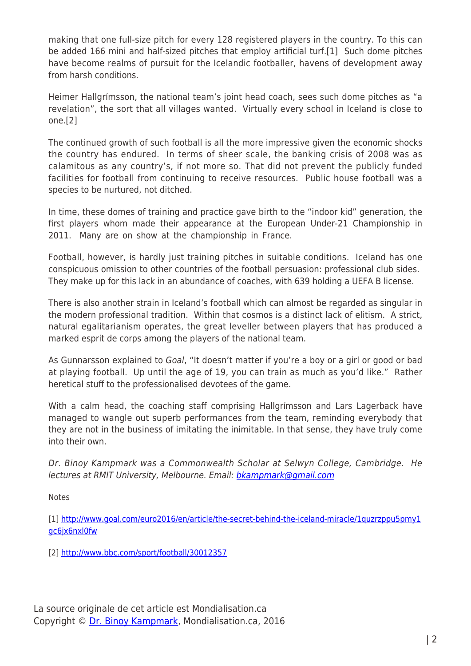making that one full-size pitch for every 128 registered players in the country. To this can be added 166 mini and half-sized pitches that employ artificial turf.[1] Such dome pitches have become realms of pursuit for the Icelandic footballer, havens of development away from harsh conditions.

Heimer Hallgrímsson, the national team's joint head coach, sees such dome pitches as "a revelation", the sort that all villages wanted. Virtually every school in Iceland is close to one.[2]

The continued growth of such football is all the more impressive given the economic shocks the country has endured. In terms of sheer scale, the banking crisis of 2008 was as calamitous as any country's, if not more so. That did not prevent the publicly funded facilities for football from continuing to receive resources. Public house football was a species to be nurtured, not ditched.

In time, these domes of training and practice gave birth to the "indoor kid" generation, the first players whom made their appearance at the European Under-21 Championship in 2011. Many are on show at the championship in France.

Football, however, is hardly just training pitches in suitable conditions. Iceland has one conspicuous omission to other countries of the football persuasion: professional club sides. They make up for this lack in an abundance of coaches, with 639 holding a UEFA B license.

There is also another strain in Iceland's football which can almost be regarded as singular in the modern professional tradition. Within that cosmos is a distinct lack of elitism. A strict, natural egalitarianism operates, the great leveller between players that has produced a marked esprit de corps among the players of the national team.

As Gunnarsson explained to Goal, "It doesn't matter if you're a boy or a girl or good or bad at playing football. Up until the age of 19, you can train as much as you'd like." Rather heretical stuff to the professionalised devotees of the game.

With a calm head, the coaching staff comprising Hallgrímsson and Lars Lagerback have managed to wangle out superb performances from the team, reminding everybody that they are not in the business of imitating the inimitable. In that sense, they have truly come into their own.

Dr. Binoy Kampmark was a Commonwealth Scholar at Selwyn College, Cambridge. He lectures at RMIT University, Melbourne. Email: [bkampmark@gmail.com](mailto:bkampmark@gmail.com)

Notes

[1] [http://www.goal.com/euro2016/en/article/the-secret-behind-the-iceland-miracle/1quzrzppu5pmy1](http://www.goal.com/euro2016/en/article/the-secret-behind-the-iceland-miracle/1quzrzppu5pmy1gc6jx6nxl0fw) [gc6jx6nxl0fw](http://www.goal.com/euro2016/en/article/the-secret-behind-the-iceland-miracle/1quzrzppu5pmy1gc6jx6nxl0fw)

[2]<http://www.bbc.com/sport/football/30012357>

La source originale de cet article est Mondialisation.ca Copyright © [Dr. Binoy Kampmark](https://www.mondialisation.ca/author/binoy-kampmark), Mondialisation.ca, 2016